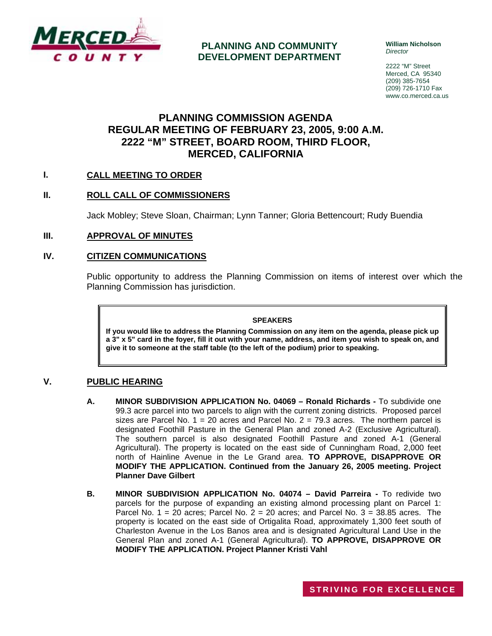

**PLANNING AND COMMUNITY DEVELOPMENT DEPARTMENT** **William Nicholson**  *Director* 

2222 "M" Street Merced, CA 95340 (209) 385-7654 (209) 726-1710 Fax www.co.merced.ca.us

# **PLANNING COMMISSION AGENDA REGULAR MEETING OF FEBRUARY 23, 2005, 9:00 A.M. 2222 "M" STREET, BOARD ROOM, THIRD FLOOR, MERCED, CALIFORNIA**

# **I. CALL MEETING TO ORDER**

### **II. ROLL CALL OF COMMISSIONERS**

Jack Mobley; Steve Sloan, Chairman; Lynn Tanner; Gloria Bettencourt; Rudy Buendia

#### **III. APPROVAL OF MINUTES**

### **IV. CITIZEN COMMUNICATIONS**

Public opportunity to address the Planning Commission on items of interest over which the Planning Commission has jurisdiction.

#### **SPEAKERS**

**If you would like to address the Planning Commission on any item on the agenda, please pick up a 3" x 5" card in the foyer, fill it out with your name, address, and item you wish to speak on, and give it to someone at the staff table (to the left of the podium) prior to speaking.**

# **V. PUBLIC HEARING**

- **A. MINOR SUBDIVISION APPLICATION No. 04069 Ronald Richards** To subdivide one 99.3 acre parcel into two parcels to align with the current zoning districts. Proposed parcel sizes are Parcel No.  $1 = 20$  acres and Parcel No.  $2 = 79.3$  acres. The northern parcel is designated Foothill Pasture in the General Plan and zoned A-2 (Exclusive Agricultural). The southern parcel is also designated Foothill Pasture and zoned A-1 (General Agricultural). The property is located on the east side of Cunningham Road, 2,000 feet north of Hainline Avenue in the Le Grand area. **TO APPROVE, DISAPPROVE OR MODIFY THE APPLICATION. Continued from the January 26, 2005 meeting. Project Planner Dave Gilbert**
- **B. MINOR SUBDIVISION APPLICATION No. 04074 David Parreira -** To redivide two parcels for the purpose of expanding an existing almond processing plant on Parcel 1: Parcel No.  $1 = 20$  acres; Parcel No.  $2 = 20$  acres; and Parcel No.  $3 = 38.85$  acres. The property is located on the east side of Ortigalita Road, approximately 1,300 feet south of Charleston Avenue in the Los Banos area and is designated Agricultural Land Use in the General Plan and zoned A-1 (General Agricultural). **TO APPROVE, DISAPPROVE OR MODIFY THE APPLICATION. Project Planner Kristi Vahl**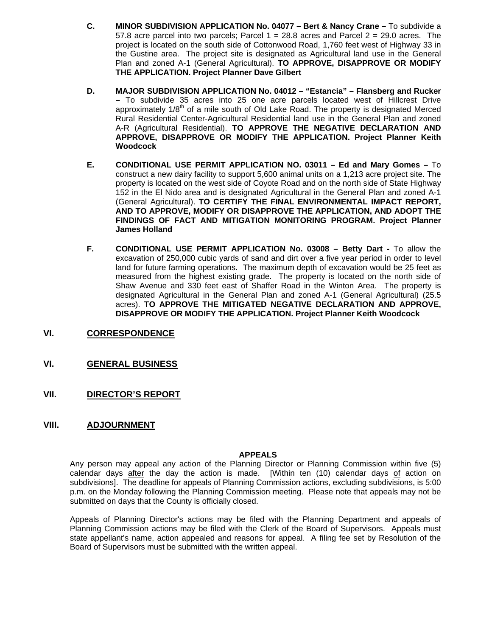- **C. MINOR SUBDIVISION APPLICATION No. 04077 Bert & Nancy Crane** To subdivide a 57.8 acre parcel into two parcels; Parcel  $1 = 28.8$  acres and Parcel  $2 = 29.0$  acres. The project is located on the south side of Cottonwood Road, 1,760 feet west of Highway 33 in the Gustine area. The project site is designated as Agricultural land use in the General Plan and zoned A-1 (General Agricultural). **TO APPROVE, DISAPPROVE OR MODIFY THE APPLICATION. Project Planner Dave Gilbert**
- **D. MAJOR SUBDIVISION APPLICATION No. 04012 "Estancia" Flansberg and Rucker –** To subdivide 35 acres into 25 one acre parcels located west of Hillcrest Drive approximately  $1/8<sup>th</sup>$  of a mile south of Old Lake Road. The property is designated Merced Rural Residential Center-Agricultural Residential land use in the General Plan and zoned A-R (Agricultural Residential). **TO APPROVE THE NEGATIVE DECLARATION AND APPROVE, DISAPPROVE OR MODIFY THE APPLICATION. Project Planner Keith Woodcock**
- **E. CONDITIONAL USE PERMIT APPLICATION NO. 03011 Ed and Mary Gomes** To construct a new dairy facility to support 5,600 animal units on a 1,213 acre project site. The property is located on the west side of Coyote Road and on the north side of State Highway 152 in the El Nido area and is designated Agricultural in the General Plan and zoned A-1 (General Agricultural). **TO CERTIFY THE FINAL ENVIRONMENTAL IMPACT REPORT, AND TO APPROVE, MODIFY OR DISAPPROVE THE APPLICATION, AND ADOPT THE FINDINGS OF FACT AND MITIGATION MONITORING PROGRAM. Project Planner James Holland**
- **F. CONDITIONAL USE PERMIT APPLICATION No. 03008 Betty Dart** To allow the excavation of 250,000 cubic yards of sand and dirt over a five year period in order to level land for future farming operations. The maximum depth of excavation would be 25 feet as measured from the highest existing grade. The property is located on the north side of Shaw Avenue and 330 feet east of Shaffer Road in the Winton Area. The property is designated Agricultural in the General Plan and zoned A-1 (General Agricultural) (25.5 acres). **TO APPROVE THE MITIGATED NEGATIVE DECLARATION AND APPROVE, DISAPPROVE OR MODIFY THE APPLICATION. Project Planner Keith Woodcock**
- **VI. CORRESPONDENCE**
- **VI. GENERAL BUSINESS**
- **VII. DIRECTOR'S REPORT**
- **VIII. ADJOURNMENT**

#### **APPEALS**

Any person may appeal any action of the Planning Director or Planning Commission within five (5) calendar days after the day the action is made. [Within ten (10) calendar days of action on subdivisions]. The deadline for appeals of Planning Commission actions, excluding subdivisions, is 5:00 p.m. on the Monday following the Planning Commission meeting. Please note that appeals may not be submitted on days that the County is officially closed.

Appeals of Planning Director's actions may be filed with the Planning Department and appeals of Planning Commission actions may be filed with the Clerk of the Board of Supervisors. Appeals must state appellant's name, action appealed and reasons for appeal. A filing fee set by Resolution of the Board of Supervisors must be submitted with the written appeal.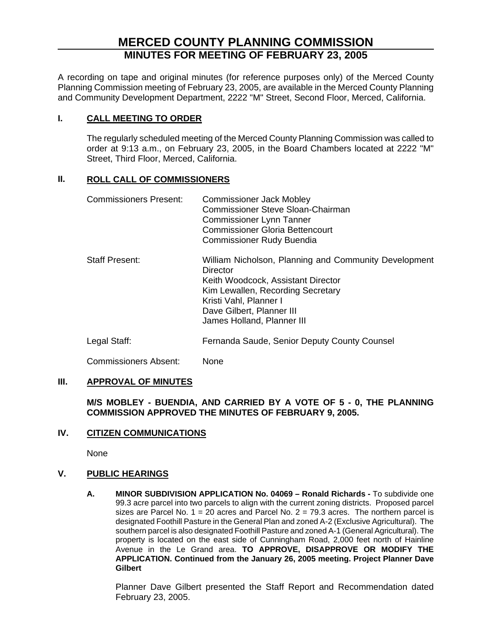# **MERCED COUNTY PLANNING COMMISSION MINUTES FOR MEETING OF FEBRUARY 23, 2005**

A recording on tape and original minutes (for reference purposes only) of the Merced County Planning Commission meeting of February 23, 2005, are available in the Merced County Planning and Community Development Department, 2222 "M" Street, Second Floor, Merced, California.

# **I. CALL MEETING TO ORDER**

The regularly scheduled meeting of the Merced County Planning Commission was called to order at 9:13 a.m., on February 23, 2005, in the Board Chambers located at 2222 "M" Street, Third Floor, Merced, California.

# **II. ROLL CALL OF COMMISSIONERS**

| <b>Commissioners Present:</b> | <b>Commissioner Jack Mobley</b><br>Commissioner Steve Sloan-Chairman<br><b>Commissioner Lynn Tanner</b><br><b>Commissioner Gloria Bettencourt</b><br><b>Commissioner Rudy Buendia</b>                                             |
|-------------------------------|-----------------------------------------------------------------------------------------------------------------------------------------------------------------------------------------------------------------------------------|
| <b>Staff Present:</b>         | William Nicholson, Planning and Community Development<br>Director<br>Keith Woodcock, Assistant Director<br>Kim Lewallen, Recording Secretary<br>Kristi Vahl, Planner I<br>Dave Gilbert, Planner III<br>James Holland, Planner III |
| Legal Staff:                  | Fernanda Saude, Senior Deputy County Counsel                                                                                                                                                                                      |

Commissioners Absent: None

# **III. APPROVAL OF MINUTES**

**M/S MOBLEY - BUENDIA, AND CARRIED BY A VOTE OF 5 - 0, THE PLANNING COMMISSION APPROVED THE MINUTES OF FEBRUARY 9, 2005.**

# **IV. CITIZEN COMMUNICATIONS**

None

# **V. PUBLIC HEARINGS**

**A. MINOR SUBDIVISION APPLICATION No. 04069 – Ronald Richards -** To subdivide one 99.3 acre parcel into two parcels to align with the current zoning districts. Proposed parcel sizes are Parcel No.  $1 = 20$  acres and Parcel No.  $2 = 79.3$  acres. The northern parcel is designated Foothill Pasture in the General Plan and zoned A-2 (Exclusive Agricultural). The southern parcel is also designated Foothill Pasture and zoned A-1 (General Agricultural). The property is located on the east side of Cunningham Road, 2,000 feet north of Hainline Avenue in the Le Grand area. **TO APPROVE, DISAPPROVE OR MODIFY THE APPLICATION. Continued from the January 26, 2005 meeting. Project Planner Dave Gilbert** 

Planner Dave Gilbert presented the Staff Report and Recommendation dated February 23, 2005.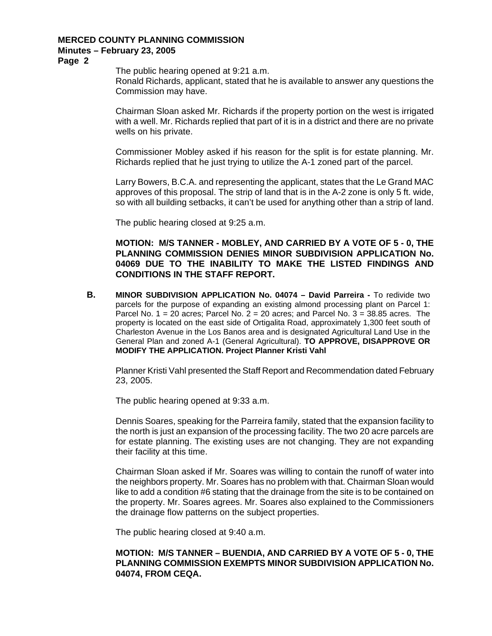**Page 2** 

The public hearing opened at 9:21 a.m.

Ronald Richards, applicant, stated that he is available to answer any questions the Commission may have.

Chairman Sloan asked Mr. Richards if the property portion on the west is irrigated with a well. Mr. Richards replied that part of it is in a district and there are no private wells on his private.

Commissioner Mobley asked if his reason for the split is for estate planning. Mr. Richards replied that he just trying to utilize the A-1 zoned part of the parcel.

Larry Bowers, B.C.A. and representing the applicant, states that the Le Grand MAC approves of this proposal. The strip of land that is in the A-2 zone is only 5 ft. wide, so with all building setbacks, it can't be used for anything other than a strip of land.

The public hearing closed at 9:25 a.m.

**MOTION: M/S TANNER - MOBLEY, AND CARRIED BY A VOTE OF 5 - 0, THE PLANNING COMMISSION DENIES MINOR SUBDIVISION APPLICATION No. 04069 DUE TO THE INABILITY TO MAKE THE LISTED FINDINGS AND CONDITIONS IN THE STAFF REPORT.** 

**B. MINOR SUBDIVISION APPLICATION No. 04074 – David Parreira -** To redivide two parcels for the purpose of expanding an existing almond processing plant on Parcel 1: Parcel No.  $1 = 20$  acres; Parcel No.  $2 = 20$  acres; and Parcel No.  $3 = 38.85$  acres. The property is located on the east side of Ortigalita Road, approximately 1,300 feet south of Charleston Avenue in the Los Banos area and is designated Agricultural Land Use in the General Plan and zoned A-1 (General Agricultural). **TO APPROVE, DISAPPROVE OR MODIFY THE APPLICATION. Project Planner Kristi Vahl**

Planner Kristi Vahl presented the Staff Report and Recommendation dated February 23, 2005.

The public hearing opened at 9:33 a.m.

Dennis Soares, speaking for the Parreira family, stated that the expansion facility to the north is just an expansion of the processing facility. The two 20 acre parcels are for estate planning. The existing uses are not changing. They are not expanding their facility at this time.

Chairman Sloan asked if Mr. Soares was willing to contain the runoff of water into the neighbors property. Mr. Soares has no problem with that. Chairman Sloan would like to add a condition #6 stating that the drainage from the site is to be contained on the property. Mr. Soares agrees. Mr. Soares also explained to the Commissioners the drainage flow patterns on the subject properties.

The public hearing closed at 9:40 a.m.

# **MOTION: M/S TANNER – BUENDIA, AND CARRIED BY A VOTE OF 5 - 0, THE PLANNING COMMISSION EXEMPTS MINOR SUBDIVISION APPLICATION No. 04074, FROM CEQA.**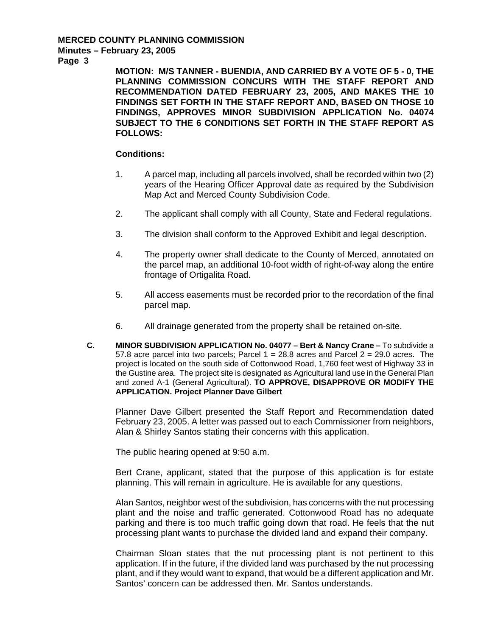**Page 3** 

**MOTION: M/S TANNER - BUENDIA, AND CARRIED BY A VOTE OF 5 - 0, THE PLANNING COMMISSION CONCURS WITH THE STAFF REPORT AND RECOMMENDATION DATED FEBRUARY 23, 2005, AND MAKES THE 10 FINDINGS SET FORTH IN THE STAFF REPORT AND, BASED ON THOSE 10 FINDINGS, APPROVES MINOR SUBDIVISION APPLICATION No. 04074 SUBJECT TO THE 6 CONDITIONS SET FORTH IN THE STAFF REPORT AS FOLLOWS:** 

#### **Conditions:**

- 1. A parcel map, including all parcels involved, shall be recorded within two (2) years of the Hearing Officer Approval date as required by the Subdivision Map Act and Merced County Subdivision Code.
- 2. The applicant shall comply with all County, State and Federal regulations.
- 3. The division shall conform to the Approved Exhibit and legal description.
- 4. The property owner shall dedicate to the County of Merced, annotated on the parcel map, an additional 10-foot width of right-of-way along the entire frontage of Ortigalita Road.
- 5. All access easements must be recorded prior to the recordation of the final parcel map.
- 6. All drainage generated from the property shall be retained on-site.
- **C. MINOR SUBDIVISION APPLICATION No. 04077 Bert & Nancy Crane** To subdivide a 57.8 acre parcel into two parcels; Parcel  $1 = 28.8$  acres and Parcel  $2 = 29.0$  acres. The project is located on the south side of Cottonwood Road, 1,760 feet west of Highway 33 in the Gustine area. The project site is designated as Agricultural land use in the General Plan and zoned A-1 (General Agricultural). **TO APPROVE, DISAPPROVE OR MODIFY THE APPLICATION. Project Planner Dave Gilbert**

Planner Dave Gilbert presented the Staff Report and Recommendation dated February 23, 2005. A letter was passed out to each Commissioner from neighbors, Alan & Shirley Santos stating their concerns with this application.

The public hearing opened at 9:50 a.m.

Bert Crane, applicant, stated that the purpose of this application is for estate planning. This will remain in agriculture. He is available for any questions.

Alan Santos, neighbor west of the subdivision, has concerns with the nut processing plant and the noise and traffic generated. Cottonwood Road has no adequate parking and there is too much traffic going down that road. He feels that the nut processing plant wants to purchase the divided land and expand their company.

Chairman Sloan states that the nut processing plant is not pertinent to this application. If in the future, if the divided land was purchased by the nut processing plant, and if they would want to expand, that would be a different application and Mr. Santos' concern can be addressed then. Mr. Santos understands.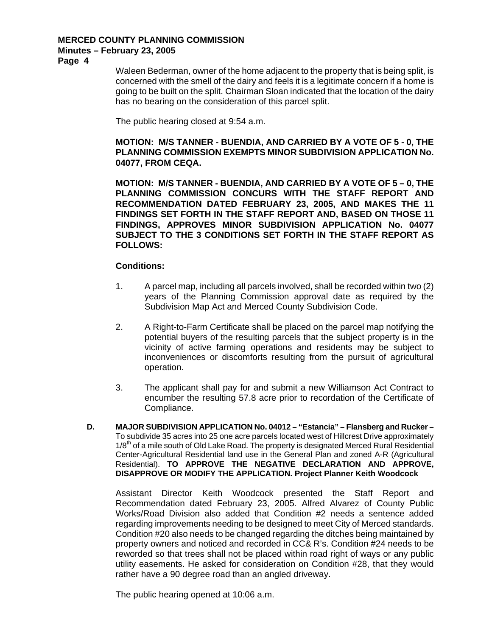**Page 4** 

Waleen Bederman, owner of the home adjacent to the property that is being split, is concerned with the smell of the dairy and feels it is a legitimate concern if a home is going to be built on the split. Chairman Sloan indicated that the location of the dairy has no bearing on the consideration of this parcel split.

The public hearing closed at 9:54 a.m.

**MOTION: M/S TANNER - BUENDIA, AND CARRIED BY A VOTE OF 5 - 0, THE PLANNING COMMISSION EXEMPTS MINOR SUBDIVISION APPLICATION No. 04077, FROM CEQA.** 

**MOTION: M/S TANNER - BUENDIA, AND CARRIED BY A VOTE OF 5 – 0, THE PLANNING COMMISSION CONCURS WITH THE STAFF REPORT AND RECOMMENDATION DATED FEBRUARY 23, 2005, AND MAKES THE 11 FINDINGS SET FORTH IN THE STAFF REPORT AND, BASED ON THOSE 11 FINDINGS, APPROVES MINOR SUBDIVISION APPLICATION No. 04077 SUBJECT TO THE 3 CONDITIONS SET FORTH IN THE STAFF REPORT AS FOLLOWS:** 

#### **Conditions:**

- 1. A parcel map, including all parcels involved, shall be recorded within two (2) years of the Planning Commission approval date as required by the Subdivision Map Act and Merced County Subdivision Code.
- 2. A Right-to-Farm Certificate shall be placed on the parcel map notifying the potential buyers of the resulting parcels that the subject property is in the vicinity of active farming operations and residents may be subject to inconveniences or discomforts resulting from the pursuit of agricultural operation.
- 3. The applicant shall pay for and submit a new Williamson Act Contract to encumber the resulting 57.8 acre prior to recordation of the Certificate of Compliance.
- **D. MAJOR SUBDIVISION APPLICATION No. 04012 "Estancia" Flansberg and Rucker**  To subdivide 35 acres into 25 one acre parcels located west of Hillcrest Drive approximately  $1/8<sup>th</sup>$  of a mile south of Old Lake Road. The property is designated Merced Rural Residential Center-Agricultural Residential land use in the General Plan and zoned A-R (Agricultural Residential). **TO APPROVE THE NEGATIVE DECLARATION AND APPROVE, DISAPPROVE OR MODIFY THE APPLICATION. Project Planner Keith Woodcock**

Assistant Director Keith Woodcock presented the Staff Report and Recommendation dated February 23, 2005. Alfred Alvarez of County Public Works/Road Division also added that Condition #2 needs a sentence added regarding improvements needing to be designed to meet City of Merced standards. Condition #20 also needs to be changed regarding the ditches being maintained by property owners and noticed and recorded in CC& R's. Condition #24 needs to be reworded so that trees shall not be placed within road right of ways or any public utility easements. He asked for consideration on Condition #28, that they would rather have a 90 degree road than an angled driveway.

The public hearing opened at 10:06 a.m.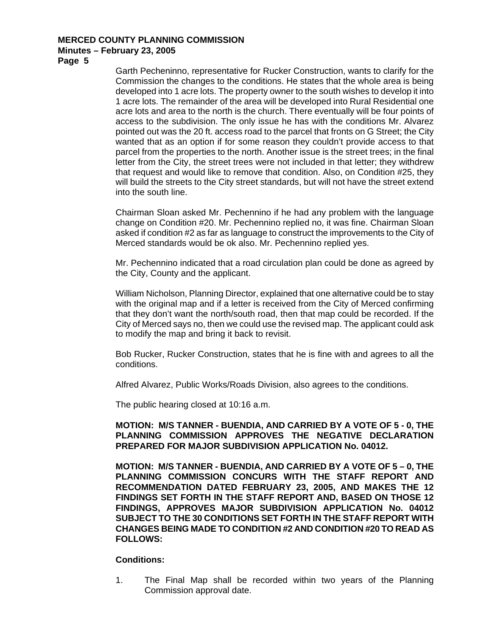**Page 5** 

Garth Pecheninno, representative for Rucker Construction, wants to clarify for the Commission the changes to the conditions. He states that the whole area is being developed into 1 acre lots. The property owner to the south wishes to develop it into 1 acre lots. The remainder of the area will be developed into Rural Residential one acre lots and area to the north is the church. There eventually will be four points of access to the subdivision. The only issue he has with the conditions Mr. Alvarez pointed out was the 20 ft. access road to the parcel that fronts on G Street; the City wanted that as an option if for some reason they couldn't provide access to that parcel from the properties to the north. Another issue is the street trees; in the final letter from the City, the street trees were not included in that letter; they withdrew that request and would like to remove that condition. Also, on Condition #25, they will build the streets to the City street standards, but will not have the street extend into the south line.

Chairman Sloan asked Mr. Pechennino if he had any problem with the language change on Condition #20. Mr. Pechennino replied no, it was fine. Chairman Sloan asked if condition #2 as far as language to construct the improvements to the City of Merced standards would be ok also. Mr. Pechennino replied yes.

Mr. Pechennino indicated that a road circulation plan could be done as agreed by the City, County and the applicant.

William Nicholson, Planning Director, explained that one alternative could be to stay with the original map and if a letter is received from the City of Merced confirming that they don't want the north/south road, then that map could be recorded. If the City of Merced says no, then we could use the revised map. The applicant could ask to modify the map and bring it back to revisit.

Bob Rucker, Rucker Construction, states that he is fine with and agrees to all the conditions.

Alfred Alvarez, Public Works/Roads Division, also agrees to the conditions.

The public hearing closed at 10:16 a.m.

**MOTION: M/S TANNER - BUENDIA, AND CARRIED BY A VOTE OF 5 - 0, THE PLANNING COMMISSION APPROVES THE NEGATIVE DECLARATION PREPARED FOR MAJOR SUBDIVISION APPLICATION No. 04012.** 

**MOTION: M/S TANNER - BUENDIA, AND CARRIED BY A VOTE OF 5 – 0, THE PLANNING COMMISSION CONCURS WITH THE STAFF REPORT AND RECOMMENDATION DATED FEBRUARY 23, 2005, AND MAKES THE 12 FINDINGS SET FORTH IN THE STAFF REPORT AND, BASED ON THOSE 12 FINDINGS, APPROVES MAJOR SUBDIVISION APPLICATION No. 04012 SUBJECT TO THE 30 CONDITIONS SET FORTH IN THE STAFF REPORT WITH CHANGES BEING MADE TO CONDITION #2 AND CONDITION #20 TO READ AS FOLLOWS:** 

#### **Conditions:**

1. The Final Map shall be recorded within two years of the Planning Commission approval date.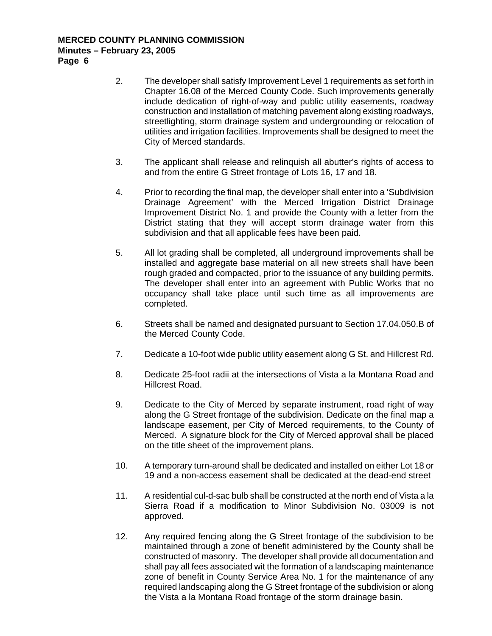- 2. The developer shall satisfy Improvement Level 1 requirements as set forth in Chapter 16.08 of the Merced County Code. Such improvements generally include dedication of right-of-way and public utility easements, roadway construction and installation of matching pavement along existing roadways, streetlighting, storm drainage system and undergrounding or relocation of utilities and irrigation facilities. Improvements shall be designed to meet the City of Merced standards.
- 3. The applicant shall release and relinquish all abutter's rights of access to and from the entire G Street frontage of Lots 16, 17 and 18.
- 4. Prior to recording the final map, the developer shall enter into a 'Subdivision Drainage Agreement' with the Merced Irrigation District Drainage Improvement District No. 1 and provide the County with a letter from the District stating that they will accept storm drainage water from this subdivision and that all applicable fees have been paid.
- 5. All lot grading shall be completed, all underground improvements shall be installed and aggregate base material on all new streets shall have been rough graded and compacted, prior to the issuance of any building permits. The developer shall enter into an agreement with Public Works that no occupancy shall take place until such time as all improvements are completed.
- 6. Streets shall be named and designated pursuant to Section 17.04.050.B of the Merced County Code.
- 7. Dedicate a 10-foot wide public utility easement along G St. and Hillcrest Rd.
- 8. Dedicate 25-foot radii at the intersections of Vista a la Montana Road and Hillcrest Road.
- 9. Dedicate to the City of Merced by separate instrument, road right of way along the G Street frontage of the subdivision. Dedicate on the final map a landscape easement, per City of Merced requirements, to the County of Merced. A signature block for the City of Merced approval shall be placed on the title sheet of the improvement plans.
- 10. A temporary turn-around shall be dedicated and installed on either Lot 18 or 19 and a non-access easement shall be dedicated at the dead-end street
- 11. A residential cul-d-sac bulb shall be constructed at the north end of Vista a la Sierra Road if a modification to Minor Subdivision No. 03009 is not approved.
- 12. Any required fencing along the G Street frontage of the subdivision to be maintained through a zone of benefit administered by the County shall be constructed of masonry. The developer shall provide all documentation and shall pay all fees associated wit the formation of a landscaping maintenance zone of benefit in County Service Area No. 1 for the maintenance of any required landscaping along the G Street frontage of the subdivision or along the Vista a la Montana Road frontage of the storm drainage basin.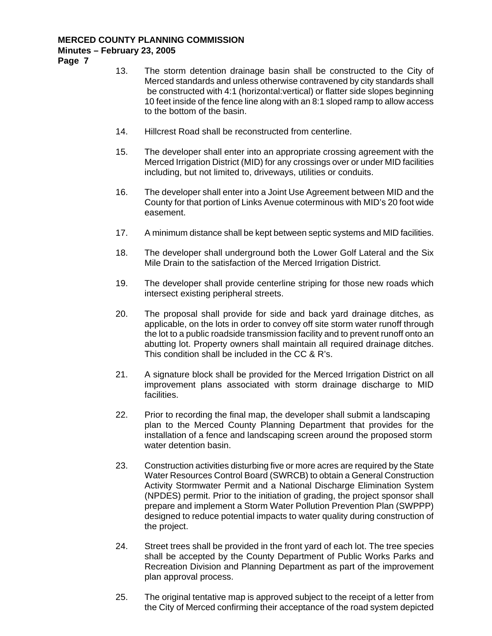**Page 7** 

- 13. The storm detention drainage basin shall be constructed to the City of Merced standards and unless otherwise contravened by city standards shall be constructed with 4:1 (horizontal:vertical) or flatter side slopes beginning 10 feet inside of the fence line along with an 8:1 sloped ramp to allow access to the bottom of the basin.
- 14. Hillcrest Road shall be reconstructed from centerline.
- 15. The developer shall enter into an appropriate crossing agreement with the Merced Irrigation District (MID) for any crossings over or under MID facilities including, but not limited to, driveways, utilities or conduits.
- 16. The developer shall enter into a Joint Use Agreement between MID and the County for that portion of Links Avenue coterminous with MID's 20 foot wide easement.
- 17. A minimum distance shall be kept between septic systems and MID facilities.
- 18. The developer shall underground both the Lower Golf Lateral and the Six Mile Drain to the satisfaction of the Merced Irrigation District.
- 19. The developer shall provide centerline striping for those new roads which intersect existing peripheral streets.
- 20. The proposal shall provide for side and back yard drainage ditches, as applicable, on the lots in order to convey off site storm water runoff through the lot to a public roadside transmission facility and to prevent runoff onto an abutting lot. Property owners shall maintain all required drainage ditches. This condition shall be included in the CC & R's.
- 21. A signature block shall be provided for the Merced Irrigation District on all improvement plans associated with storm drainage discharge to MID facilities.
- 22. Prior to recording the final map, the developer shall submit a landscaping plan to the Merced County Planning Department that provides for the installation of a fence and landscaping screen around the proposed storm water detention basin.
- 23. Construction activities disturbing five or more acres are required by the State Water Resources Control Board (SWRCB) to obtain a General Construction Activity Stormwater Permit and a National Discharge Elimination System (NPDES) permit. Prior to the initiation of grading, the project sponsor shall prepare and implement a Storm Water Pollution Prevention Plan (SWPPP) designed to reduce potential impacts to water quality during construction of the project.
- 24. Street trees shall be provided in the front yard of each lot. The tree species shall be accepted by the County Department of Public Works Parks and Recreation Division and Planning Department as part of the improvement plan approval process.
- 25. The original tentative map is approved subject to the receipt of a letter from the City of Merced confirming their acceptance of the road system depicted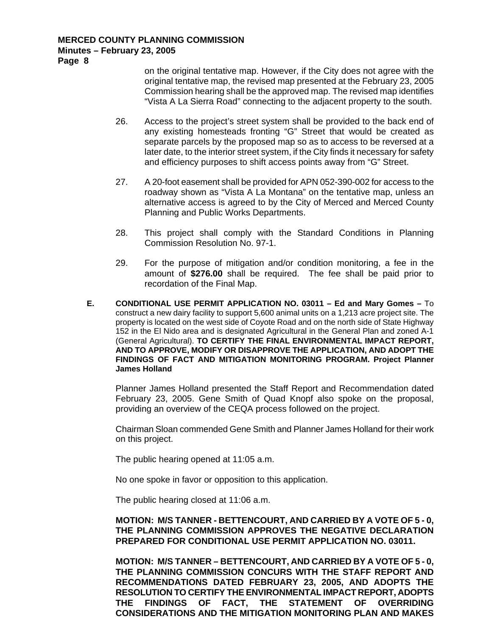**Page 8** 

on the original tentative map. However, if the City does not agree with the original tentative map, the revised map presented at the February 23, 2005 Commission hearing shall be the approved map. The revised map identifies "Vista A La Sierra Road" connecting to the adjacent property to the south.

- 26. Access to the project's street system shall be provided to the back end of any existing homesteads fronting "G" Street that would be created as separate parcels by the proposed map so as to access to be reversed at a later date, to the interior street system, if the City finds it necessary for safety and efficiency purposes to shift access points away from "G" Street.
- 27. A 20-foot easement shall be provided for APN 052-390-002 for access to the roadway shown as "Vista A La Montana" on the tentative map, unless an alternative access is agreed to by the City of Merced and Merced County Planning and Public Works Departments.
- 28. This project shall comply with the Standard Conditions in Planning Commission Resolution No. 97-1.
- 29. For the purpose of mitigation and/or condition monitoring, a fee in the amount of **\$276.00** shall be required. The fee shall be paid prior to recordation of the Final Map.
- **E. CONDITIONAL USE PERMIT APPLICATION NO. 03011 Ed and Mary Gomes** To construct a new dairy facility to support 5,600 animal units on a 1,213 acre project site. The property is located on the west side of Coyote Road and on the north side of State Highway 152 in the El Nido area and is designated Agricultural in the General Plan and zoned A-1 (General Agricultural). **TO CERTIFY THE FINAL ENVIRONMENTAL IMPACT REPORT, AND TO APPROVE, MODIFY OR DISAPPROVE THE APPLICATION, AND ADOPT THE FINDINGS OF FACT AND MITIGATION MONITORING PROGRAM. Project Planner James Holland**

Planner James Holland presented the Staff Report and Recommendation dated February 23, 2005. Gene Smith of Quad Knopf also spoke on the proposal, providing an overview of the CEQA process followed on the project.

Chairman Sloan commended Gene Smith and Planner James Holland for their work on this project.

The public hearing opened at 11:05 a.m.

No one spoke in favor or opposition to this application.

The public hearing closed at 11:06 a.m.

#### **MOTION: M/S TANNER - BETTENCOURT, AND CARRIED BY A VOTE OF 5 - 0, THE PLANNING COMMISSION APPROVES THE NEGATIVE DECLARATION PREPARED FOR CONDITIONAL USE PERMIT APPLICATION NO. 03011.**

**MOTION: M/S TANNER – BETTENCOURT, AND CARRIED BY A VOTE OF 5 - 0, THE PLANNING COMMISSION CONCURS WITH THE STAFF REPORT AND RECOMMENDATIONS DATED FEBRUARY 23, 2005, AND ADOPTS THE RESOLUTION TO CERTIFY THE ENVIRONMENTAL IMPACT REPORT, ADOPTS THE FINDINGS OF FACT, THE STATEMENT OF OVERRIDING CONSIDERATIONS AND THE MITIGATION MONITORING PLAN AND MAKES**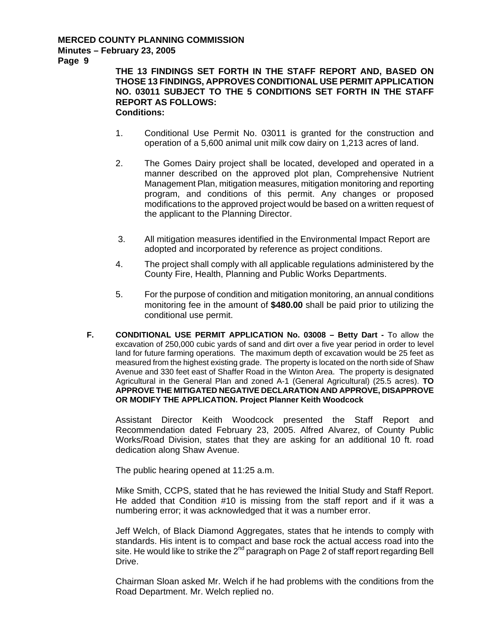**Page 9** 

**THE 13 FINDINGS SET FORTH IN THE STAFF REPORT AND, BASED ON THOSE 13 FINDINGS, APPROVES CONDITIONAL USE PERMIT APPLICATION NO. 03011 SUBJECT TO THE 5 CONDITIONS SET FORTH IN THE STAFF REPORT AS FOLLOWS: Conditions:** 

- 1. Conditional Use Permit No. 03011 is granted for the construction and operation of a 5,600 animal unit milk cow dairy on 1,213 acres of land.
- 2. The Gomes Dairy project shall be located, developed and operated in a manner described on the approved plot plan, Comprehensive Nutrient Management Plan, mitigation measures, mitigation monitoring and reporting program, and conditions of this permit. Any changes or proposed modifications to the approved project would be based on a written request of the applicant to the Planning Director.
- 3. All mitigation measures identified in the Environmental Impact Report are adopted and incorporated by reference as project conditions.
- 4. The project shall comply with all applicable regulations administered by the County Fire, Health, Planning and Public Works Departments.
- 5. For the purpose of condition and mitigation monitoring, an annual conditions monitoring fee in the amount of **\$480.00** shall be paid prior to utilizing the conditional use permit.
- **F. CONDITIONAL USE PERMIT APPLICATION No. 03008 Betty Dart** To allow the excavation of 250,000 cubic yards of sand and dirt over a five year period in order to level land for future farming operations. The maximum depth of excavation would be 25 feet as measured from the highest existing grade. The property is located on the north side of Shaw Avenue and 330 feet east of Shaffer Road in the Winton Area. The property is designated Agricultural in the General Plan and zoned A-1 (General Agricultural) (25.5 acres). **TO APPROVE THE MITIGATED NEGATIVE DECLARATION AND APPROVE, DISAPPROVE OR MODIFY THE APPLICATION. Project Planner Keith Woodcock**

Assistant Director Keith Woodcock presented the Staff Report and Recommendation dated February 23, 2005. Alfred Alvarez, of County Public Works/Road Division, states that they are asking for an additional 10 ft. road dedication along Shaw Avenue.

The public hearing opened at 11:25 a.m.

Mike Smith, CCPS, stated that he has reviewed the Initial Study and Staff Report. He added that Condition #10 is missing from the staff report and if it was a numbering error; it was acknowledged that it was a number error.

Jeff Welch, of Black Diamond Aggregates, states that he intends to comply with standards. His intent is to compact and base rock the actual access road into the site. He would like to strike the 2<sup>nd</sup> paragraph on Page 2 of staff report regarding Bell Drive.

Chairman Sloan asked Mr. Welch if he had problems with the conditions from the Road Department. Mr. Welch replied no.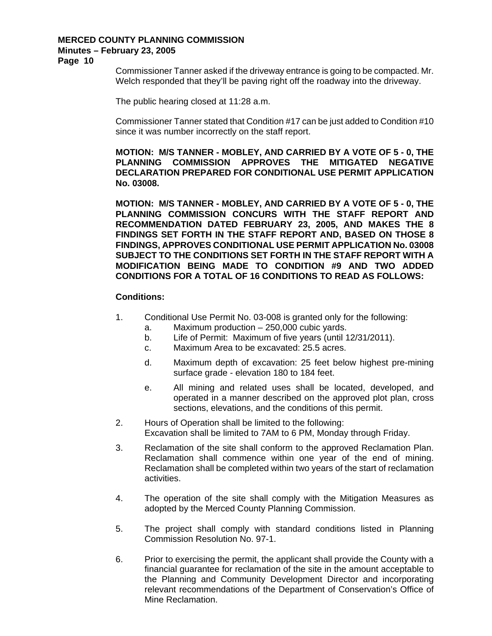**Page 10** 

Commissioner Tanner asked if the driveway entrance is going to be compacted. Mr. Welch responded that they'll be paving right off the roadway into the driveway.

The public hearing closed at 11:28 a.m.

Commissioner Tanner stated that Condition #17 can be just added to Condition #10 since it was number incorrectly on the staff report.

**MOTION: M/S TANNER - MOBLEY, AND CARRIED BY A VOTE OF 5 - 0, THE PLANNING COMMISSION APPROVES THE MITIGATED NEGATIVE DECLARATION PREPARED FOR CONDITIONAL USE PERMIT APPLICATION No. 03008.** 

**MOTION: M/S TANNER - MOBLEY, AND CARRIED BY A VOTE OF 5 - 0, THE PLANNING COMMISSION CONCURS WITH THE STAFF REPORT AND RECOMMENDATION DATED FEBRUARY 23, 2005, AND MAKES THE 8 FINDINGS SET FORTH IN THE STAFF REPORT AND, BASED ON THOSE 8 FINDINGS, APPROVES CONDITIONAL USE PERMIT APPLICATION No. 03008 SUBJECT TO THE CONDITIONS SET FORTH IN THE STAFF REPORT WITH A MODIFICATION BEING MADE TO CONDITION #9 AND TWO ADDED CONDITIONS FOR A TOTAL OF 16 CONDITIONS TO READ AS FOLLOWS:** 

#### **Conditions:**

- 1. Conditional Use Permit No. 03-008 is granted only for the following:
	- a. Maximum production 250,000 cubic yards.
	- b. Life of Permit: Maximum of five years (until 12/31/2011).
	- c. Maximum Area to be excavated: 25.5 acres.
	- d. Maximum depth of excavation: 25 feet below highest pre-mining surface grade - elevation 180 to 184 feet.
	- e. All mining and related uses shall be located, developed, and operated in a manner described on the approved plot plan, cross sections, elevations, and the conditions of this permit.
- 2. Hours of Operation shall be limited to the following: Excavation shall be limited to 7AM to 6 PM, Monday through Friday.
- 3. Reclamation of the site shall conform to the approved Reclamation Plan. Reclamation shall commence within one year of the end of mining. Reclamation shall be completed within two years of the start of reclamation activities.
- 4. The operation of the site shall comply with the Mitigation Measures as adopted by the Merced County Planning Commission.
- 5. The project shall comply with standard conditions listed in Planning Commission Resolution No. 97-1.
- 6. Prior to exercising the permit, the applicant shall provide the County with a financial guarantee for reclamation of the site in the amount acceptable to the Planning and Community Development Director and incorporating relevant recommendations of the Department of Conservation's Office of Mine Reclamation.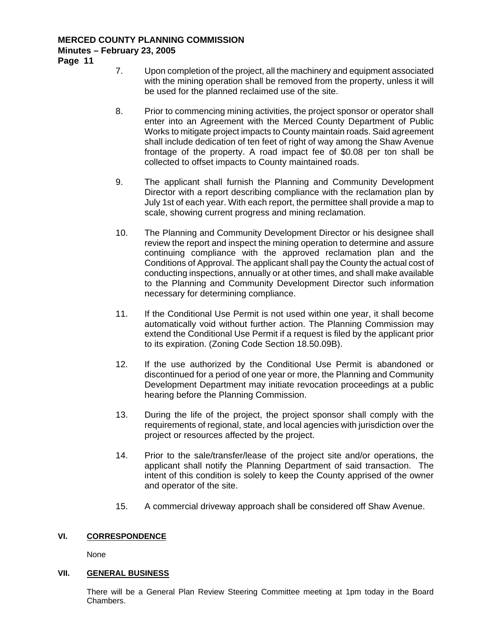**Page 11** 

- 7. Upon completion of the project, all the machinery and equipment associated with the mining operation shall be removed from the property, unless it will be used for the planned reclaimed use of the site.
- 8. Prior to commencing mining activities, the project sponsor or operator shall enter into an Agreement with the Merced County Department of Public Works to mitigate project impacts to County maintain roads. Said agreement shall include dedication of ten feet of right of way among the Shaw Avenue frontage of the property. A road impact fee of \$0.08 per ton shall be collected to offset impacts to County maintained roads.
- 9. The applicant shall furnish the Planning and Community Development Director with a report describing compliance with the reclamation plan by July 1st of each year. With each report, the permittee shall provide a map to scale, showing current progress and mining reclamation.
- 10. The Planning and Community Development Director or his designee shall review the report and inspect the mining operation to determine and assure continuing compliance with the approved reclamation plan and the Conditions of Approval. The applicant shall pay the County the actual cost of conducting inspections, annually or at other times, and shall make available to the Planning and Community Development Director such information necessary for determining compliance.
- 11. If the Conditional Use Permit is not used within one year, it shall become automatically void without further action. The Planning Commission may extend the Conditional Use Permit if a request is filed by the applicant prior to its expiration. (Zoning Code Section 18.50.09B).
- 12. If the use authorized by the Conditional Use Permit is abandoned or discontinued for a period of one year or more, the Planning and Community Development Department may initiate revocation proceedings at a public hearing before the Planning Commission.
- 13. During the life of the project, the project sponsor shall comply with the requirements of regional, state, and local agencies with jurisdiction over the project or resources affected by the project.
- 14. Prior to the sale/transfer/lease of the project site and/or operations, the applicant shall notify the Planning Department of said transaction. The intent of this condition is solely to keep the County apprised of the owner and operator of the site.
- 15. A commercial driveway approach shall be considered off Shaw Avenue.

# **VI. CORRESPONDENCE**

None

#### **VII. GENERAL BUSINESS**

There will be a General Plan Review Steering Committee meeting at 1pm today in the Board **Chambers**